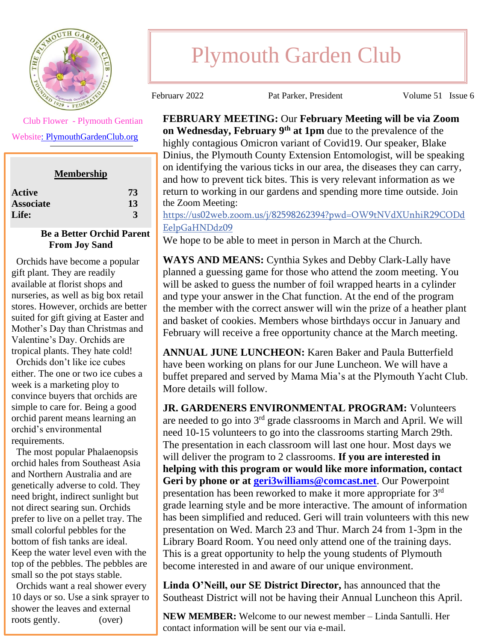

Club Flower - Plymouth Gentian

Websit[e: PlymouthGardenClub.org](https://plymouthgardenclub.org/)

| <b>Membership</b> |              |
|-------------------|--------------|
| Active            | 73           |
| <b>Associate</b>  | 13           |
| <b>Life:</b>      | $\mathbf{3}$ |

## **Be a Better Orchid Parent From Joy Sand**

 Orchids have become a popular gift plant. They are readily available at florist shops and nurseries, as well as big box retail stores. However, orchids are better suited for gift giving at Easter and Mother's Day than Christmas and Valentine's Day. Orchids are tropical plants. They hate cold!

 Orchids don't like ice cubes either. The one or two ice cubes a week is a marketing ploy to convince buyers that orchids are simple to care for. Being a good orchid parent means learning an orchid's environmental requirements.

 The most popular Phalaenopsis orchid hales from Southeast Asia and Northern Australia and are genetically adverse to cold. They need bright, indirect sunlight but not direct searing sun. Orchids prefer to live on a pellet tray. The small colorful pebbles for the bottom of fish tanks are ideal. Keep the water level even with the top of the pebbles. The pebbles are small so the pot stays stable.

 Orchids want a real shower every 10 days or so. Use a sink sprayer to shower the leaves and external roots gently. (over)

## Plymouth Garden Club

February 2022 Pat Parker, President Volume 51 Issue 6

**FEBRUARY MEETING:** Our **February Meeting will be via Zoom on Wednesday, February 9th at 1pm** due to the prevalence of the highly contagious Omicron variant of Covid19. Our speaker, Blake Dinius, the Plymouth County Extension Entomologist, will be speaking on identifying the various ticks in our area, the diseases they can carry, and how to prevent tick bites. This is very relevant information as we return to working in our gardens and spending more time outside. Join the Zoom Meeting:

[https://us02web.zoom.us/j/82598262394?pwd=OW9tNVdXUnhiR29CODd](https://us02web.zoom.us/j/82598262394?pwd=OW9tNVdXUnhiR29CODdEelpGaHNDdz09) [EelpGaHNDdz09](https://us02web.zoom.us/j/82598262394?pwd=OW9tNVdXUnhiR29CODdEelpGaHNDdz09)

We hope to be able to meet in person in March at the Church.

**WAYS AND MEANS:** Cynthia Sykes and Debby Clark-Lally have planned a guessing game for those who attend the zoom meeting. You will be asked to guess the number of foil wrapped hearts in a cylinder and type your answer in the Chat function. At the end of the program the member with the correct answer will win the prize of a heather plant and basket of cookies. Members whose birthdays occur in January and February will receive a free opportunity chance at the March meeting.

**ANNUAL JUNE LUNCHEON:** Karen Baker and Paula Butterfield have been working on plans for our June Luncheon. We will have a buffet prepared and served by Mama Mia's at the Plymouth Yacht Club. More details will follow.

**JR. GARDENERS ENVIRONMENTAL PROGRAM:** Volunteers are needed to go into 3rd grade classrooms in March and April. We will need 10-15 volunteers to go into the classrooms starting March 29th. The presentation in each classroom will last one hour. Most days we will deliver the program to 2 classrooms. **If you are interested in helping with this program or would like more information, contact Geri by phone or at [geri3williams@comcast.net](mailto:geri3williams@comcast.net)**. Our Powerpoint presentation has been reworked to make it more appropriate for 3<sup>rd</sup> grade learning style and be more interactive. The amount of information has been simplified and reduced. Geri will train volunteers with this new presentation on Wed. March 23 and Thur. March 24 from 1-3pm in the Library Board Room. You need only attend one of the training days. This is a great opportunity to help the young students of Plymouth become interested in and aware of our unique environment.

**Linda O'Neill, our SE District Director,** has announced that the Southeast District will not be having their Annual Luncheon this April.

**NEW MEMBER:** Welcome to our newest member – Linda Santulli. Her contact information will be sent our via e-mail.